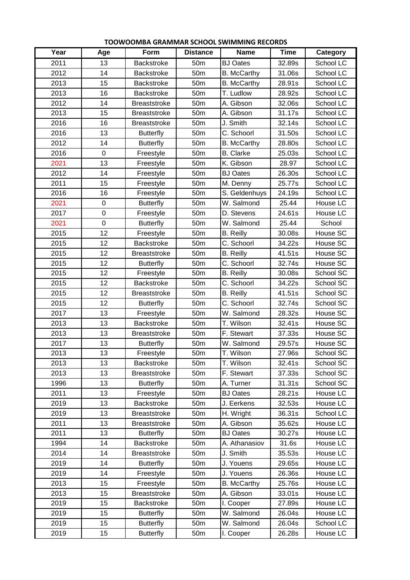| Year | Age         | Form                | <b>Distance</b> | <b>Name</b>        | <b>Time</b> | Category  |
|------|-------------|---------------------|-----------------|--------------------|-------------|-----------|
| 2011 | 13          | <b>Backstroke</b>   | 50m             | <b>BJ Oates</b>    | 32.89s      | School LC |
| 2012 | 14          | <b>Backstroke</b>   | 50m             | <b>B.</b> McCarthy | 31.06s      | School LC |
| 2013 | 15          | <b>Backstroke</b>   | 50m             | <b>B.</b> McCarthy | 28.91s      | School LC |
| 2013 | 16          | Backstroke          | 50 <sub>m</sub> | T. Ludlow          | 28.92s      | School LC |
| 2012 | 14          | <b>Breaststroke</b> | 50 <sub>m</sub> | A. Gibson          | 32.06s      | School LC |
| 2013 | 15          | <b>Breaststroke</b> | 50 <sub>m</sub> | A. Gibson          | 31.17s      | School LC |
| 2016 | 16          | <b>Breaststroke</b> | 50 <sub>m</sub> | J. Smith           | 32.14s      | School LC |
| 2016 | 13          | <b>Butterfly</b>    | 50 <sub>m</sub> | C. Schoorl         | 31.50s      | School LC |
| 2012 | 14          | <b>Butterfly</b>    | 50 <sub>m</sub> | <b>B.</b> McCarthy | 28.80s      | School LC |
| 2016 | $\mathbf 0$ | Freestyle           | 50m             | <b>B.</b> Clarke   | 25.03s      | School LC |
| 2021 | 13          | Freestyle           | 50m             | K. Gibson          | 28.97       | School LC |
| 2012 | 14          | Freestyle           | 50 <sub>m</sub> | <b>BJ Oates</b>    | 26.30s      | School LC |
| 2011 | 15          | Freestyle           | 50m             | M. Denny           | 25.77s      | School LC |
| 2016 | 16          | Freestyle           | 50 <sub>m</sub> | S. Geldenhuys      | 24.19s      | School LC |
| 2021 | $\mathbf 0$ | <b>Butterfly</b>    | 50m             | W. Salmond         | 25.44       | House LC  |
| 2017 | $\mathbf 0$ | Freestyle           | 50 <sub>m</sub> | D. Stevens         | 24.61s      | House LC  |
| 2021 | $\mathbf 0$ | <b>Butterfly</b>    | 50 <sub>m</sub> | W. Salmond         | 25.44       | School    |
| 2015 | 12          | Freestyle           | 50 <sub>m</sub> | <b>B.</b> Reilly   | 30.08s      | House SC  |
| 2015 | 12          | <b>Backstroke</b>   | 50 <sub>m</sub> | C. Schoorl         | 34.22s      | House SC  |
| 2015 | 12          | <b>Breaststroke</b> | 50m             | <b>B.</b> Reilly   | 41.51s      | House SC  |
| 2015 | 12          | <b>Butterfly</b>    | 50 <sub>m</sub> | C. Schoorl         | 32.74s      | House SC  |
| 2015 | 12          | Freestyle           | 50m             | <b>B.</b> Reilly   | 30.08s      | School SC |
| 2015 | 12          | <b>Backstroke</b>   | 50m             | C. Schoorl         | 34.22s      | School SC |
| 2015 | 12          | <b>Breaststroke</b> | 50m             | <b>B.</b> Reilly   | 41.51s      | School SC |
| 2015 | 12          | <b>Butterfly</b>    | 50 <sub>m</sub> | C. Schoorl         | 32.74s      | School SC |
| 2017 | 13          | Freestyle           | 50 <sub>m</sub> | W. Salmond         | 28.32s      | House SC  |
| 2013 | 13          | <b>Backstroke</b>   | 50 <sub>m</sub> | T. Wilson          | 32.41s      | House SC  |
| 2013 | 13          | <b>Breaststroke</b> | 50m             | F. Stewart         | 37.33s      | House SC  |
| 2017 | 13          | <b>Butterfly</b>    | 50m             | W. Salmond         | 29.57s      | House SC  |
| 2013 | 13          | Freestyle           | 50m             | T. Wilson          | 27.96s      | School SC |
| 2013 | 13          | <b>Backstroke</b>   | 50 <sub>m</sub> | T. Wilson          | 32.41s      | School SC |
| 2013 | 13          | <b>Breaststroke</b> | 50m             | F. Stewart         | 37.33s      | School SC |
| 1996 | 13          | <b>Butterfly</b>    | 50 <sub>m</sub> | A. Turner          | 31.31s      | School SC |
| 2011 | 13          | Freestyle           | 50 <sub>m</sub> | <b>BJ Oates</b>    | 28.21s      | House LC  |
| 2019 | 13          | <b>Backstroke</b>   | 50 <sub>m</sub> | J. Eerkens         | 32.53s      | House LC  |
| 2019 | 13          | <b>Breaststroke</b> | 50m             | H. Wright          | 36.31s      | School LC |
| 2011 | 13          | <b>Breaststroke</b> | 50 <sub>m</sub> | A. Gibson          | 35.62s      | House LC  |
| 2011 | 13          | <b>Butterfly</b>    | 50m             | <b>BJ Oates</b>    | 30.27s      | House LC  |
| 1994 | 14          | Backstroke          | 50 <sub>m</sub> | A. Athanasiov      | 31.6s       | House LC  |
| 2014 | 14          | <b>Breaststroke</b> | 50 <sub>m</sub> | J. Smith           | 35.53s      | House LC  |
| 2019 | 14          | <b>Butterfly</b>    | 50m             | J. Youens          | 29.65s      | House LC  |
| 2019 | 14          | Freestyle           | 50 <sub>m</sub> | J. Youens          | 26.36s      | House LC  |
| 2013 | 15          | Freestyle           | 50m             | <b>B.</b> McCarthy | 25.76s      | House LC  |
| 2013 | 15          | <b>Breaststroke</b> | 50 <sub>m</sub> | A. Gibson          | 33.01s      | House LC  |
| 2019 | 15          | Backstroke          | 50m             | I. Cooper          | 27.89s      | House LC  |
| 2019 | 15          | <b>Butterfly</b>    | 50m             | W. Salmond         | 26.04s      | House LC  |
| 2019 | 15          | <b>Butterfly</b>    | 50 <sub>m</sub> | W. Salmond         | 26.04s      | School LC |
| 2019 | 15          | <b>Butterfly</b>    | 50m             | I. Cooper          | 26.28s      | House LC  |

## **TOOWOOMBA GRAMMAR SCHOOL SWIMMING RECORDS**